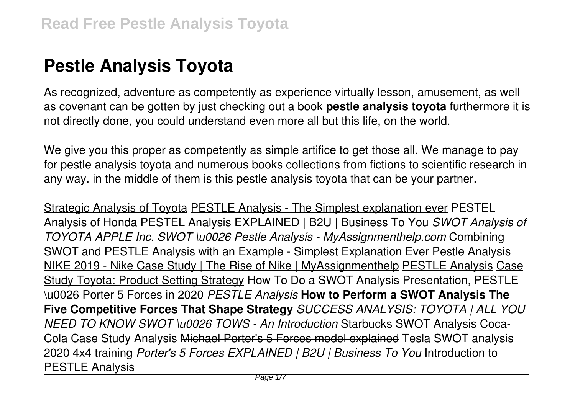# **Pestle Analysis Toyota**

As recognized, adventure as competently as experience virtually lesson, amusement, as well as covenant can be gotten by just checking out a book **pestle analysis toyota** furthermore it is not directly done, you could understand even more all but this life, on the world.

We give you this proper as competently as simple artifice to get those all. We manage to pay for pestle analysis toyota and numerous books collections from fictions to scientific research in any way. in the middle of them is this pestle analysis toyota that can be your partner.

Strategic Analysis of Toyota PESTLE Analysis - The Simplest explanation ever PESTEL Analysis of Honda PESTEL Analysis EXPLAINED | B2U | Business To You *SWOT Analysis of TOYOTA APPLE Inc. SWOT \u0026 Pestle Analysis - MyAssignmenthelp.com* Combining SWOT and PESTLE Analysis with an Example - Simplest Explanation Ever Pestle Analysis NIKE 2019 - Nike Case Study | The Rise of Nike | MyAssignmenthelp PESTLE Analysis Case Study Toyota: Product Setting Strategy How To Do a SWOT Analysis Presentation, PESTLE \u0026 Porter 5 Forces in 2020 *PESTLE Analysis* **How to Perform a SWOT Analysis The Five Competitive Forces That Shape Strategy** *SUCCESS ANALYSIS: TOYOTA | ALL YOU NEED TO KNOW SWOT \u0026 TOWS - An Introduction* Starbucks SWOT Analysis Coca-Cola Case Study Analysis Michael Porter's 5 Forces model explained Tesla SWOT analysis 2020 4x4 training *Porter's 5 Forces EXPLAINED | B2U | Business To You* Introduction to PESTLE Analysis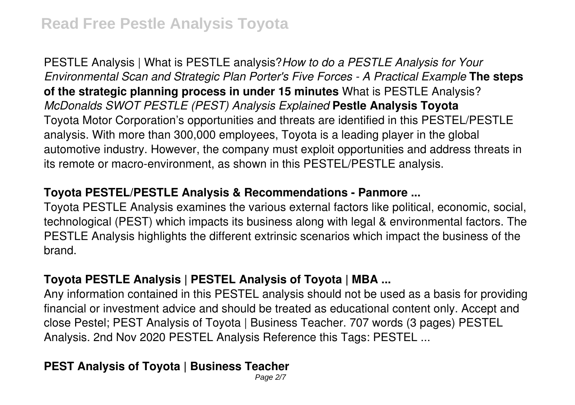PESTLE Analysis | What is PESTLE analysis?*How to do a PESTLE Analysis for Your Environmental Scan and Strategic Plan Porter's Five Forces - A Practical Example* **The steps of the strategic planning process in under 15 minutes** What is PESTLE Analysis? *McDonalds SWOT PESTLE (PEST) Analysis Explained* **Pestle Analysis Toyota** Toyota Motor Corporation's opportunities and threats are identified in this PESTEL/PESTLE analysis. With more than 300,000 employees, Toyota is a leading player in the global automotive industry. However, the company must exploit opportunities and address threats in its remote or macro-environment, as shown in this PESTEL/PESTLE analysis.

#### **Toyota PESTEL/PESTLE Analysis & Recommendations - Panmore ...**

Toyota PESTLE Analysis examines the various external factors like political, economic, social, technological (PEST) which impacts its business along with legal & environmental factors. The PESTLE Analysis highlights the different extrinsic scenarios which impact the business of the brand.

# **Toyota PESTLE Analysis | PESTEL Analysis of Toyota | MBA ...**

Any information contained in this PESTEL analysis should not be used as a basis for providing financial or investment advice and should be treated as educational content only. Accept and close Pestel; PEST Analysis of Toyota | Business Teacher. 707 words (3 pages) PESTEL Analysis. 2nd Nov 2020 PESTEL Analysis Reference this Tags: PESTEL ...

# **PEST Analysis of Toyota | Business Teacher**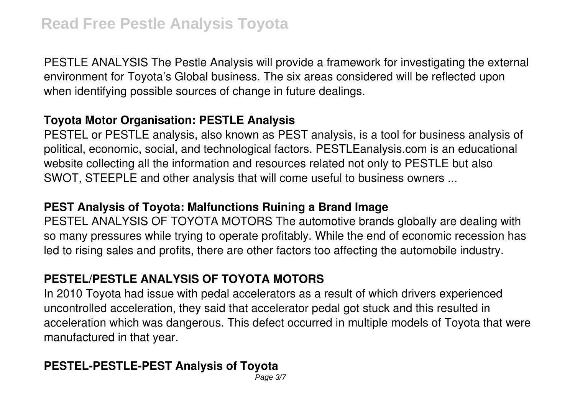PESTLE ANALYSIS The Pestle Analysis will provide a framework for investigating the external environment for Toyota's Global business. The six areas considered will be reflected upon when identifying possible sources of change in future dealings.

#### **Toyota Motor Organisation: PESTLE Analysis**

PESTEL or PESTLE analysis, also known as PEST analysis, is a tool for business analysis of political, economic, social, and technological factors. PESTLEanalysis.com is an educational website collecting all the information and resources related not only to PESTLE but also SWOT, STEEPLE and other analysis that will come useful to business owners ...

#### **PEST Analysis of Toyota: Malfunctions Ruining a Brand Image**

PESTEL ANALYSIS OF TOYOTA MOTORS The automotive brands globally are dealing with so many pressures while trying to operate profitably. While the end of economic recession has led to rising sales and profits, there are other factors too affecting the automobile industry.

# **PESTEL/PESTLE ANALYSIS OF TOYOTA MOTORS**

In 2010 Toyota had issue with pedal accelerators as a result of which drivers experienced uncontrolled acceleration, they said that accelerator pedal got stuck and this resulted in acceleration which was dangerous. This defect occurred in multiple models of Toyota that were manufactured in that year.

# **PESTEL-PESTLE-PEST Analysis of Toyota**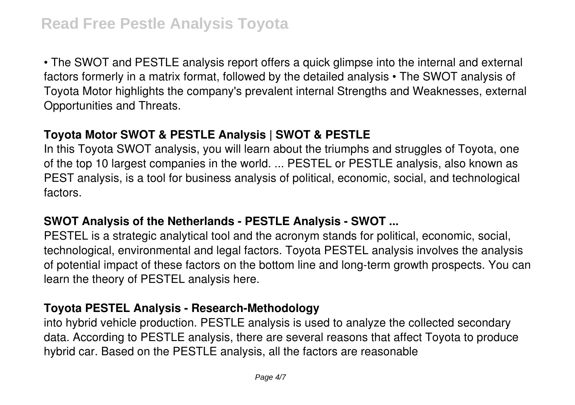• The SWOT and PESTLE analysis report offers a quick glimpse into the internal and external factors formerly in a matrix format, followed by the detailed analysis • The SWOT analysis of Toyota Motor highlights the company's prevalent internal Strengths and Weaknesses, external Opportunities and Threats.

# **Toyota Motor SWOT & PESTLE Analysis | SWOT & PESTLE**

In this Toyota SWOT analysis, you will learn about the triumphs and struggles of Toyota, one of the top 10 largest companies in the world. ... PESTEL or PESTLE analysis, also known as PEST analysis, is a tool for business analysis of political, economic, social, and technological factors.

#### **SWOT Analysis of the Netherlands - PESTLE Analysis - SWOT ...**

PESTEL is a strategic analytical tool and the acronym stands for political, economic, social, technological, environmental and legal factors. Toyota PESTEL analysis involves the analysis of potential impact of these factors on the bottom line and long-term growth prospects. You can learn the theory of PESTEL analysis here.

#### **Toyota PESTEL Analysis - Research-Methodology**

into hybrid vehicle production. PESTLE analysis is used to analyze the collected secondary data. According to PESTLE analysis, there are several reasons that affect Toyota to produce hybrid car. Based on the PESTLE analysis, all the factors are reasonable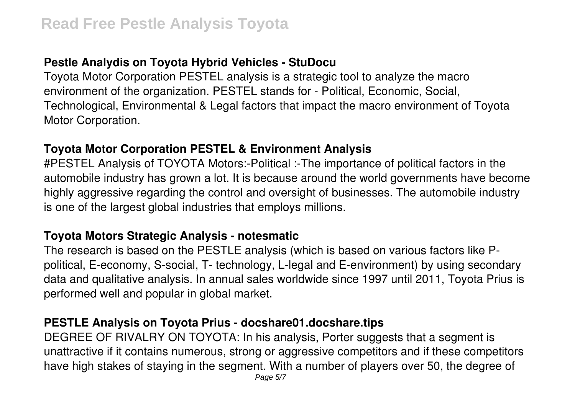# **Pestle Analydis on Toyota Hybrid Vehicles - StuDocu**

Toyota Motor Corporation PESTEL analysis is a strategic tool to analyze the macro environment of the organization. PESTEL stands for - Political, Economic, Social, Technological, Environmental & Legal factors that impact the macro environment of Toyota Motor Corporation.

#### **Toyota Motor Corporation PESTEL & Environment Analysis**

#PESTEL Analysis of TOYOTA Motors:-Political :-The importance of political factors in the automobile industry has grown a lot. It is because around the world governments have become highly aggressive regarding the control and oversight of businesses. The automobile industry is one of the largest global industries that employs millions.

#### **Toyota Motors Strategic Analysis - notesmatic**

The research is based on the PESTLE analysis (which is based on various factors like Ppolitical, E-economy, S-social, T- technology, L-legal and E-environment) by using secondary data and qualitative analysis. In annual sales worldwide since 1997 until 2011, Toyota Prius is performed well and popular in global market.

# **PESTLE Analysis on Toyota Prius - docshare01.docshare.tips**

DEGREE OF RIVALRY ON TOYOTA: In his analysis, Porter suggests that a segment is unattractive if it contains numerous, strong or aggressive competitors and if these competitors have high stakes of staying in the segment. With a number of players over 50, the degree of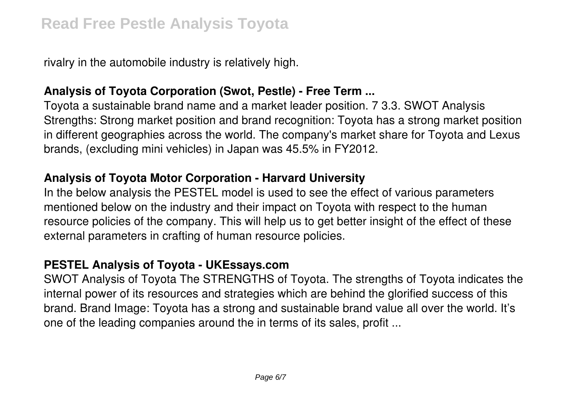rivalry in the automobile industry is relatively high.

# **Analysis of Toyota Corporation (Swot, Pestle) - Free Term ...**

Toyota a sustainable brand name and a market leader position. 7 3.3. SWOT Analysis Strengths: Strong market position and brand recognition: Toyota has a strong market position in different geographies across the world. The company's market share for Toyota and Lexus brands, (excluding mini vehicles) in Japan was 45.5% in FY2012.

#### **Analysis of Toyota Motor Corporation - Harvard University**

In the below analysis the PESTEL model is used to see the effect of various parameters mentioned below on the industry and their impact on Toyota with respect to the human resource policies of the company. This will help us to get better insight of the effect of these external parameters in crafting of human resource policies.

# **PESTEL Analysis of Toyota - UKEssays.com**

SWOT Analysis of Toyota The STRENGTHS of Toyota. The strengths of Toyota indicates the internal power of its resources and strategies which are behind the glorified success of this brand. Brand Image: Toyota has a strong and sustainable brand value all over the world. It's one of the leading companies around the in terms of its sales, profit ...